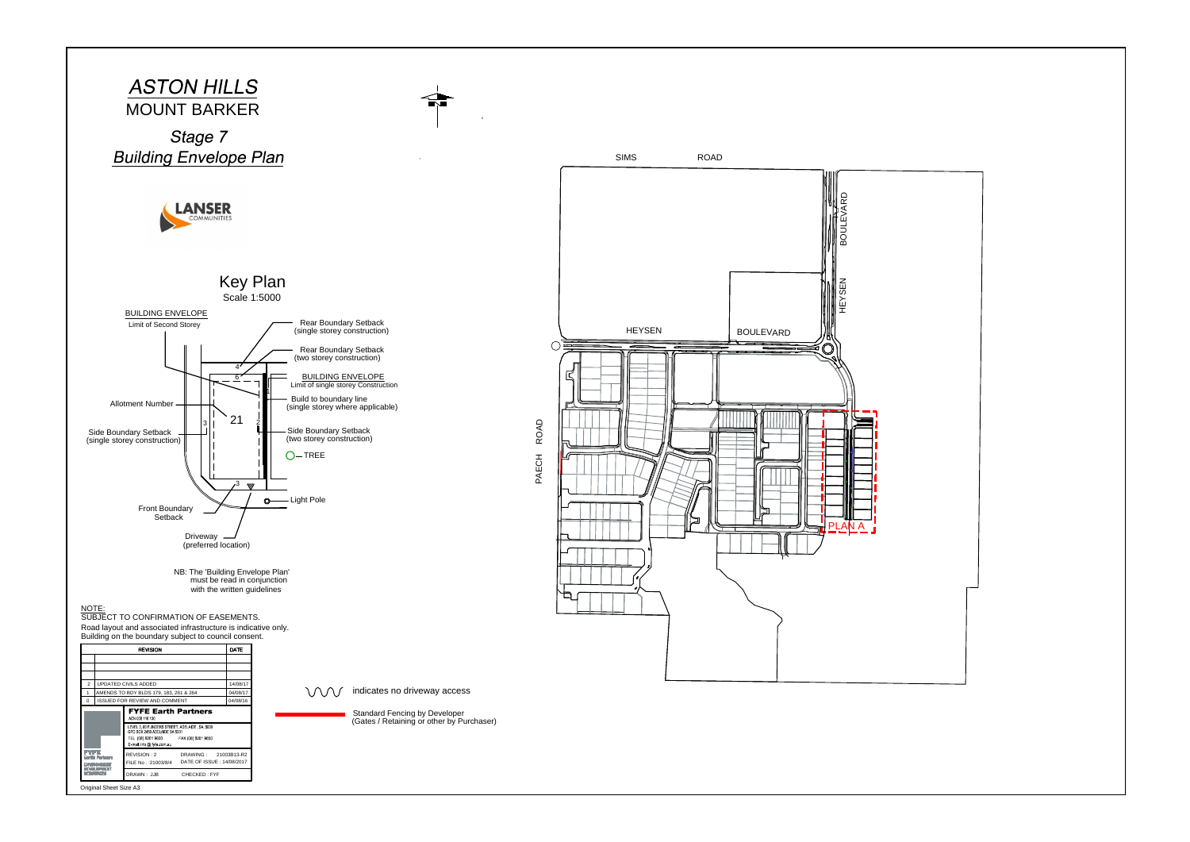